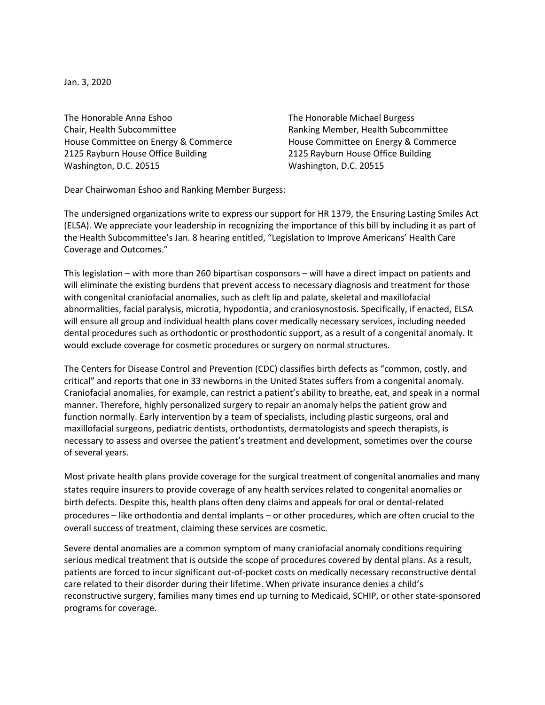Jan. 3, 2020

The Honorable Anna Eshoo Chair, Health Subcommittee House Committee on Energy & Commerce 2125 Rayburn House Office Building Washington, D.C. 20515

The Honorable Michael Burgess Ranking Member, Health Subcommittee House Committee on Energy & Commerce 2125 Rayburn House Office Building Washington, D.C. 20515

Dear Chairwoman Eshoo and Ranking Member Burgess:

The undersigned organizations write to express our support for HR 1379, the Ensuring Lasting Smiles Act (ELSA). We appreciate your leadership in recognizing the importance of this bill by including it as part of the Health Subcommittee's Jan. 8 hearing entitled, "Legislation to Improve Americans' Health Care Coverage and Outcomes."

This legislation – with more than 260 bipartisan cosponsors – will have a direct impact on patients and will eliminate the existing burdens that prevent access to necessary diagnosis and treatment for those with congenital craniofacial anomalies, such as cleft lip and palate, skeletal and maxillofacial abnormalities, facial paralysis, microtia, hypodontia, and craniosynostosis. Specifically, if enacted, ELSA will ensure all group and individual health plans cover medically necessary services, including needed dental procedures such as orthodontic or prosthodontic support, as a result of a congenital anomaly. It would exclude coverage for cosmetic procedures or surgery on normal structures.

The Centers for Disease Control and Prevention (CDC) classifies birth defects as "common, costly, and critical" and reports that one in 33 newborns in the United States suffers from a congenital anomaly. Craniofacial anomalies, for example, can restrict a patient's ability to breathe, eat, and speak in a normal manner. Therefore, highly personalized surgery to repair an anomaly helps the patient grow and function normally. Early intervention by a team of specialists, including plastic surgeons, oral and maxillofacial surgeons, pediatric dentists, orthodontists, dermatologists and speech therapists, is necessary to assess and oversee the patient's treatment and development, sometimes over the course of several years.

Most private health plans provide coverage for the surgical treatment of congenital anomalies and many states require insurers to provide coverage of any health services related to congenital anomalies or birth defects. Despite this, health plans often deny claims and appeals for oral or dental-related procedures – like orthodontia and dental implants – or other procedures, which are often crucial to the overall success of treatment, claiming these services are cosmetic.

Severe dental anomalies are a common symptom of many craniofacial anomaly conditions requiring serious medical treatment that is outside the scope of procedures covered by dental plans. As a result, patients are forced to incur significant out-of-pocket costs on medically necessary reconstructive dental care related to their disorder during their lifetime. When private insurance denies a child's reconstructive surgery, families many times end up turning to Medicaid, SCHIP, or other state-sponsored programs for coverage.